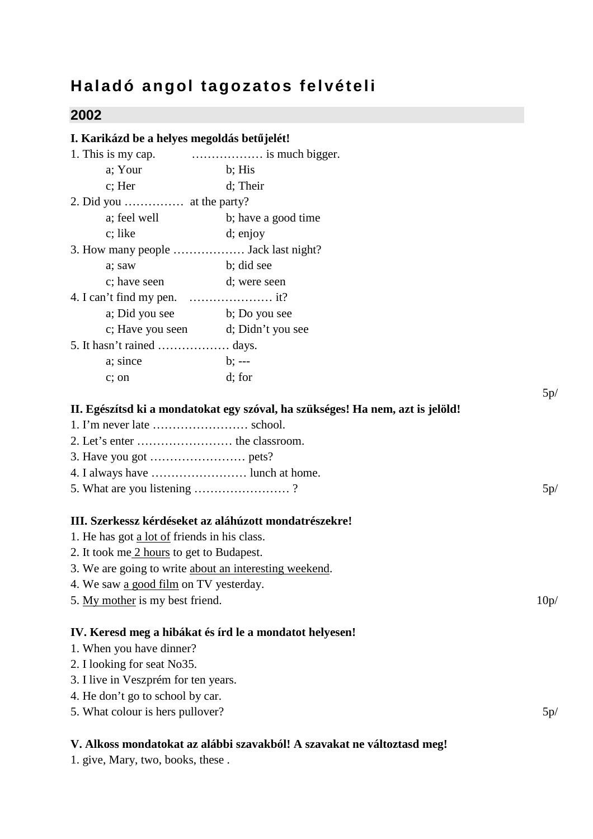## **Haladó angol tagozatos felvételi**

## **2002**

| I. Karikázd be a helyes megoldás betűjelét!  |                                                                                |     |
|----------------------------------------------|--------------------------------------------------------------------------------|-----|
|                                              |                                                                                |     |
| a; Your                                      | b; His                                                                         |     |
| $c$ ; Her                                    | d; Their                                                                       |     |
| 2. Did you $\dots \dots \dots$ at the party? |                                                                                |     |
|                                              | a; feel well b; have a good time                                               |     |
| c; like                                      | d; enjoy                                                                       |     |
| 3. How many people  Jack last night?         |                                                                                |     |
| a; saw                                       | b; did see                                                                     |     |
| c; have seen d; were seen                    |                                                                                |     |
|                                              |                                                                                |     |
| a; Did you see b; Do you see                 |                                                                                |     |
|                                              | c; Have you seen d; Didn't you see                                             |     |
| 5. It hasn't rained  days.                   |                                                                                |     |
| a; since<br>$b: --$                          |                                                                                |     |
| c; on                                        | d; for                                                                         |     |
|                                              |                                                                                | 5p/ |
|                                              | II. Egészítsd ki a mondatokat egy szóval, ha szükséges! Ha nem, azt is jelöld! |     |
|                                              |                                                                                |     |
|                                              |                                                                                |     |
|                                              |                                                                                |     |
| 4. I always have  lunch at home.             |                                                                                |     |
| 5. What are you listening ?                  |                                                                                | 5p/ |
|                                              | III. Szerkessz kérdéseket az aláhúzott mondatrészekre!                         |     |
| 1. He has got a lot of friends in his class. |                                                                                |     |
| 2. It took me 2 hours to get to Budapest.    |                                                                                |     |
|                                              | 3. We are going to write about an interesting weekend.                         |     |
| 4. We saw a good film on TV yesterday.       |                                                                                |     |
| 5. My mother is my best friend.              | 10p/                                                                           |     |
|                                              | IV. Keresd meg a hibákat és írd le a mondatot helyesen!                        |     |
| 1. When you have dinner?                     |                                                                                |     |
| 2. I looking for seat No35.                  |                                                                                |     |
| 3. I live in Veszprém for ten years.         |                                                                                |     |
| 4. He don't go to school by car.             |                                                                                |     |
| 5. What colour is hers pullover?             |                                                                                | 5p/ |
|                                              | V. Alkoss mondatokat az alábbi szavakból! A szavakat ne változtasd meg!        |     |

1. give, Mary, two, books, these .